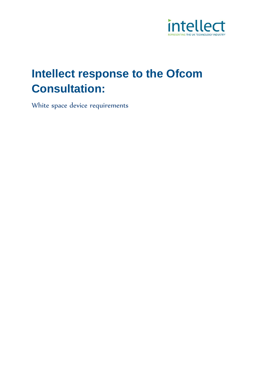

# **Intellect response to the Ofcom Consultation:**

White space device requirements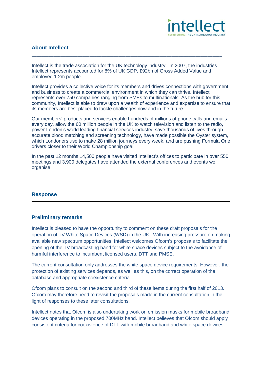

# **About Intellect**

Intellect is the trade association for the UK technology industry. In 2007, the industries Intellect represents accounted for 8% of UK GDP, £92bn of Gross Added Value and employed 1.2m people.

**\_\_\_\_\_\_\_\_\_\_\_\_\_\_\_\_\_\_\_\_\_\_\_\_\_\_\_\_\_\_\_\_\_\_\_\_\_\_\_\_\_\_\_\_\_\_\_\_\_\_\_\_\_\_\_\_\_\_\_\_\_\_\_\_\_\_\_\_\_\_\_\_\_\_\_\_\_\_\_**

Intellect provides a collective voice for its members and drives connections with government and business to create a commercial environment in which they can thrive. Intellect represents over 750 companies ranging from SMEs to multinationals. As the hub for this community, Intellect is able to draw upon a wealth of experience and expertise to ensure that its members are best placed to tackle challenges now and in the future.

Our members' products and services enable hundreds of millions of phone calls and emails every day, allow the 60 million people in the UK to watch television and listen to the radio, power London's world leading financial services industry, save thousands of lives through accurate blood matching and screening technology, have made possible the Oyster system, which Londoners use to make 28 million journeys every week, and are pushing Formula One drivers closer to their World Championship goal.

In the past 12 months 14,500 people have visited Intellect's offices to participate in over 550 meetings and 3,900 delegates have attended the external conferences and events we organise.

#### **Response**

#### **Preliminary remarks**

Intellect is pleased to have the opportunity to comment on these draft proposals for the operation of TV White Space Devices (WSD) in the UK. With increasing pressure on making available new spectrum opportunities, Intellect welcomes Ofcom's proposals to facilitate the opening of the TV broadcasting band for white space devices subject to the avoidance of harmful interference to incumbent licensed users, DTT and PMSE.

The current consultation only addresses the white space device requirements. However, the protection of existing services depends, as well as this, on the correct operation of the database and appropriate coexistence criteria.

Ofcom plans to consult on the second and third of these items during the first half of 2013. Ofcom may therefore need to revisit the proposals made in the current consultation in the light of responses to these later consultations.

Intellect notes that Ofcom is also undertaking work on emission masks for mobile broadband devices operating in the proposed 700MHz band. Intellect believes that Ofcom should apply consistent criteria for coexistence of DTT with mobile broadband and white space devices.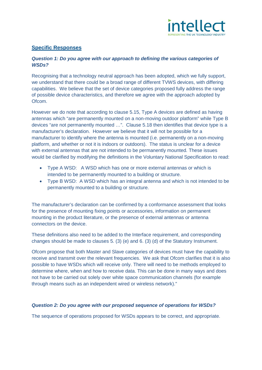

## **Specific Responses**

#### *Question 1: Do you agree with our approach to defining the various categories of WSDs?*

Recognising that a technology neutral approach has been adopted, which we fully support, we understand that there could be a broad range of different TVWS devices, with differing capabilities. We believe that the set of device categories proposed fully address the range of possible device characteristics, and therefore we agree with the approach adopted by Ofcom.

However we do note that according to clause 5.15, Type A devices are defined as having antennas which "are permanently mounted on a non-moving outdoor platform" while Type B devices "are not permanently mounted …". Clause 5.18 then identifies that device type is a manufacturer's declaration. However we believe that it will not be possible for a manufacturer to identify where the antenna is mounted (i.e. permanently on a non-moving platform, and whether or not it is indoors or outdoors). The status is unclear for a device with external antennas that are not intended to be permanently mounted. These issues would be clarified by modifying the definitions in the Voluntary National Specification to read:

- Type A WSD: A WSD which has one or more external antennas or which is intended to be permanently mounted to a building or structure.
- Type B WSD: A WSD which has an integral antenna and which is not intended to be permanently mounted to a building or structure.

The manufacturer's declaration can be confirmed by a conformance assessment that looks for the presence of mounting fixing points or accessories, information on permanent mounting in the product literature, or the presence of external antennas or antenna connectors on the device.

These definitions also need to be added to the Interface requirement, and corresponding changes should be made to clauses 5. (3) (e) and 6. (3) (d) of the Statutory Instrument.

Ofcom propose that both Master and Slave categories of devices must have the capability to receive and transmit over the relevant frequencies. We ask that Ofcom clarifies that it is also possible to have WSDs which will receive only. There will need to be methods employed to determine where, when and how to receive data. This can be done in many ways and does not have to be carried out solely over white space communication channels (for example through means such as an independent wired or wireless network)."

#### *Question 2: Do you agree with our proposed sequence of operations for WSDs?*

The sequence of operations proposed for WSDs appears to be correct, and appropriate.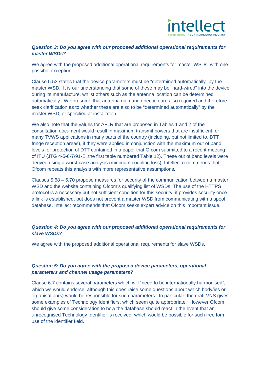

## *Question 3: Do you agree with our proposed additional operational requirements for master WSDs?*

We agree with the proposed additional operational requirements for master WSDs, with one possible exception:

Clause 5.53 states that the device parameters must be "determined automatically" by the master WSD. It is our understanding that some of these may be "hard-wired" into the device during its manufacture, whilst others such as the antenna location can be determined automatically. We presume that antenna gain and direction are also required and therefore seek clarification as to whether these are also to be "determined automatically" by the master WSD, or specified at installation.

We also note that the values for AFLR that are proposed in Tables 1 and 2 of the consultation document would result in maximum transmit powers that are insufficient for many TVWS applications in many parts of the country (including, but not limited to, DTT fringe reception areas), if they were applied in conjunction with the maximum out of band levels for protection of DTT contained in a paper that Ofcom submitted to a recent meeting of ITU (JTG 4-5-6-7/91-E, the first table numbered Table 12). These out of band levels were derived using a worst case analysis (minimum coupling loss). Intellect recommends that Ofcom repeats this analysis with more representative assumptions.

Clauses 5.68 – 5.70 propose measures for security of the communication between a master WSD and the website containing Ofcom's qualifying list of WSDs. The use of the HTTPS protocol is a necessary but not sufficient condition for this security; it provides security once a link is established, but does not prevent a master WSD from communicating with a spoof database. Intellect recommends that Ofcom seeks expert advice on this important issue.

#### *Question 4: Do you agree with our proposed additional operational requirements for slave WSDs?*

We agree with the proposed additional operational requirements for slave WSDs.

#### *Question 5: Do you agree with the proposed device parameters, operational parameters and channel usage parameters?*

Clause 6.7 contains several parameters which will "need to be internationally harmonised", which we would endorse, although this does raise some questions about which body/ies or organisation(s) would be responsible for such parameters. In particular, the draft VNS gives some examples of Technology Identifiers, which seem quite appropriate. However Ofcom should give some consideration to how the database should react in the event that an unrecognised Technology Identifier is received, which would be possible for such free form use of the identifier field.